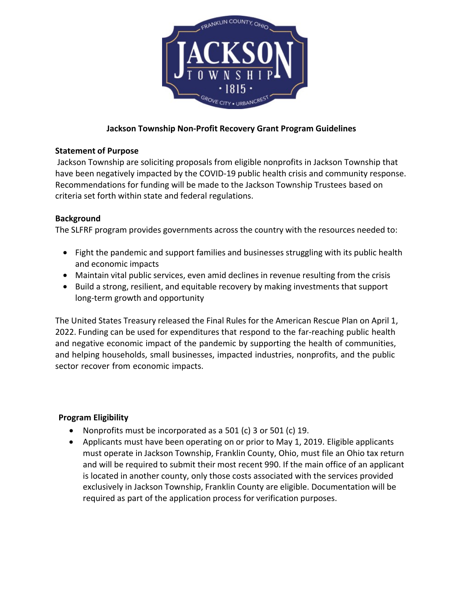

# **Jackson Township Non-Profit Recovery Grant Program Guidelines**

## **Statement of Purpose**

 Jackson Township are soliciting proposals from eligible nonprofits in Jackson Township that have been negatively impacted by the COVID-19 public health crisis and community response. Recommendations for funding will be made to the Jackson Township Trustees based on criteria set forth within state and federal regulations.

### **Background**

The SLFRF program provides governments across the country with the resources needed to:

- Fight the pandemic and support families and businesses struggling with its public health and economic impacts
- Maintain vital public services, even amid declines in revenue resulting from the crisis
- Build a strong, resilient, and equitable recovery by making investments that support long-term growth and opportunity

The United States Treasury released the Final Rules for the American Rescue Plan on April 1, 2022. Funding can be used for expenditures that respond to the far-reaching public health and negative economic impact of the pandemic by supporting the health of communities, and helping households, small businesses, impacted industries, nonprofits, and the public sector recover from economic impacts.

## **Program Eligibility**

- Nonprofits must be incorporated as a 501 (c) 3 or 501 (c) 19.
- Applicants must have been operating on or prior to May 1, 2019. Eligible applicants must operate in Jackson Township, Franklin County, Ohio, must file an Ohio tax return and will be required to submit their most recent 990. If the main office of an applicant is located in another county, only those costs associated with the services provided exclusively in Jackson Township, Franklin County are eligible. Documentation will be required as part of the application process for verification purposes.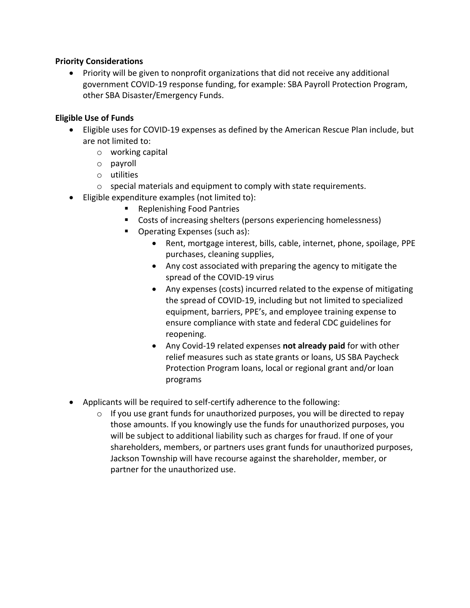### **Priority Considerations**

• Priority will be given to nonprofit organizations that did not receive any additional government COVID-19 response funding, for example: SBA Payroll Protection Program, other SBA Disaster/Emergency Funds.

## **Eligible Use of Funds**

- Eligible uses for COVID-19 expenses as defined by the American Rescue Plan include, but are not limited to:
	- o working capital
	- o payroll
	- o utilities
	- $\circ$  special materials and equipment to comply with state requirements.
- Eligible expenditure examples (not limited to):
	- Replenishing Food Pantries
	- Costs of increasing shelters (persons experiencing homelessness)
	- Operating Expenses (such as):
		- Rent, mortgage interest, bills, cable, internet, phone, spoilage, PPE purchases, cleaning supplies,
		- Any cost associated with preparing the agency to mitigate the spread of the COVID-19 virus
		- Any expenses (costs) incurred related to the expense of mitigating the spread of COVID-19, including but not limited to specialized equipment, barriers, PPE's, and employee training expense to ensure compliance with state and federal CDC guidelines for reopening.
		- Any Covid-19 related expenses **not already paid** for with other relief measures such as state grants or loans, US SBA Paycheck Protection Program loans, local or regional grant and/or loan programs
- Applicants will be required to self-certify adherence to the following:
	- o If you use grant funds for unauthorized purposes, you will be directed to repay those amounts. If you knowingly use the funds for unauthorized purposes, you will be subject to additional liability such as charges for fraud. If one of your shareholders, members, or partners uses grant funds for unauthorized purposes, Jackson Township will have recourse against the shareholder, member, or partner for the unauthorized use.